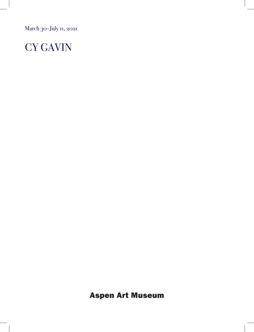March 30-July 11, 2021

## CY GAVIN

Aspen Art Museum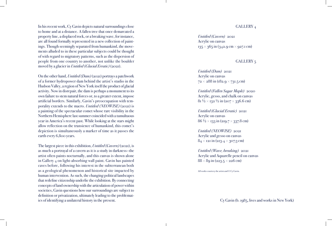In his recent work, Cy Gavin depicts natural surroundings close to home and at a distance. A fallen tree that once demarcated a property line, a displaced rock, or a breaking wave, for instance, are all found formally represented in a new collection of paintings. Though seemingly separated from humankind, the movements alluded to in these particular subjects could be thought of with regard to migratory patterns, such as the dispersion of people from one country to another, not unlike the boulder moved by a glacier in *Untitled (Glacial Erratic)* (2021).

On the other hand, *Untitled (Dam)* (2021) portrays a patchwork of a former hydropower dam behind the artist's studio in the Hudson Valley, a region of New York itself the product of glacial activity. Now in disrepair, the dam is perhaps a monument to its own failure to stem natural forces or, to a greater extent, impose artificial borders. Similarly, Gavin's preoccupation with tem porality extends to the macro. *Untitled (NEOWISE)* (2021) is a painting of the spectacular comet whose rare visibility in the Northern Hemisphere last summer coincided with a tumultuous year in America's recent past. While looking at the stars might allow reflection on the transience of humankind, this comet's depiction is simultaneously a marker of time as it passes the earth every 6,800 years.

The largest piece in this exhibition, *Untitled (Cavern)* (2021), is as much a portrayal of a cavern as it is a study in darkness—the artist often paints nocturnally, and this canvas is shown alone in Gallery 4 on light-absorbing wall paint. Gavin has painted caves before, following his interest in the subterranean both as a geological phenomenon and historical site impacted by human intervention. As such, the changing political landscapes that redefine citizenship underlie the exhibition. By connecting concepts of land ownership with the articulation of power within societies, Gavin questions how our surroundings are subject to definition or privatization, ultimately leading to the problematics of identifying a unilateral history in the present.

## GALLERY 4

*Untitled (Cavern)* 2021 Acrylic on canvas 135 × 365 in (342.9 cm × 927.1 cm)

## GALLERY 5

*Untitled (Dam)* 2021 Acrylic on canvas  $72 \times 288$  in (182.9  $\times$  731.5 cm)

*Untitled (Fallen Sugar Maple)* 2020 Acrylic, gesso, and chalk on canvas  $8$ 1 ½  $\times$  132 ½ in (207  $\times$  336.6 cm)

*Untitled (Glacial Erratic)* 2021 Acrylic on canvas  $86\,\frac{1}{2}\!\times\!133$  in (219.7  $\times$  337.8 cm)

*Untitled (NEOWISE)* 2021 Acrylic and gesso on canvas  $84\times$  121 in (213.4  $\times$  307.3 cm)

*Untitled (Wave, breaking)* 2021 Acrylic and Aquarelle pencil on canvas  $88\times 8$ 9 in (223.5  $\times$  226 cm)

All works courtesy the artist and © Cy Gavin.

Cy Gavin (b. 1985, lives and works in New York)